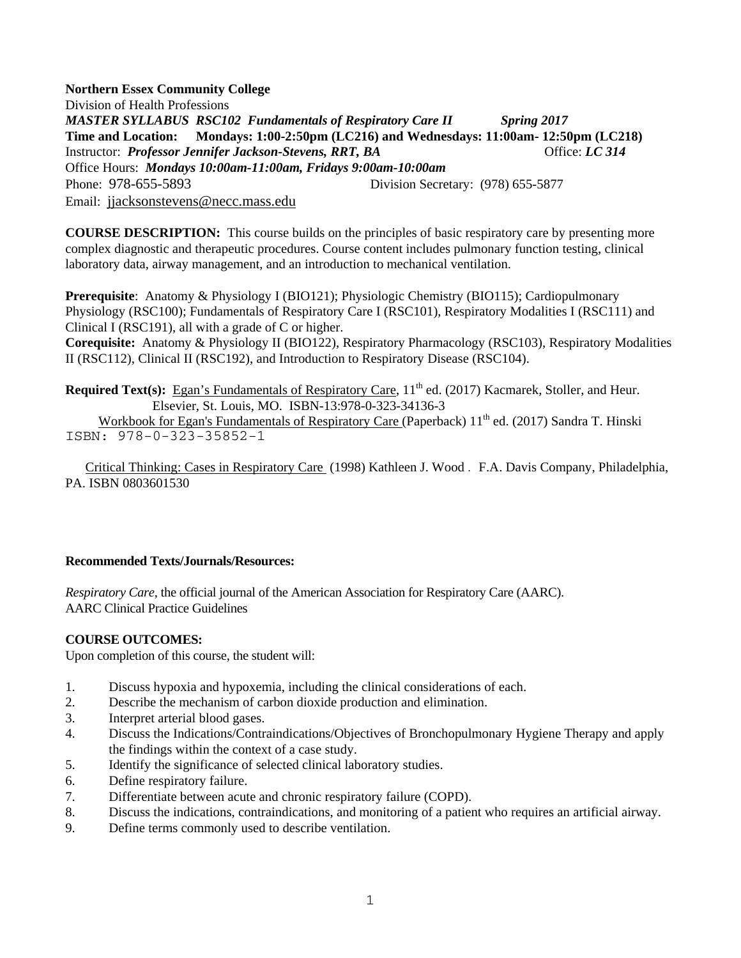**Northern Essex Community College**  Division of Health Professions *MASTER SYLLABUS RSC102 Fundamentals of Respiratory Care II Spring 2017* **Time and Location: Mondays: 1:00-2:50pm (LC216) and Wednesdays: 11:00am- 12:50pm (LC218)** Instructor: *Professor Jennifer Jackson-Stevens, RRT, BA* Office: *LC 314* Office Hours: *Mondays 10:00am-11:00am, Fridays 9:00am-10:00am* Phone: 978-655-5893Division Secretary: (978) 655-5877 Email: jjacksonstevens@necc.mass.edu

**COURSE DESCRIPTION:** This course builds on the principles of basic respiratory care by presenting more complex diagnostic and therapeutic procedures. Course content includes pulmonary function testing, clinical laboratory data, airway management, and an introduction to mechanical ventilation.

**Prerequisite**: Anatomy & Physiology I (BIO121); Physiologic Chemistry (BIO115); Cardiopulmonary Physiology (RSC100); Fundamentals of Respiratory Care I (RSC101), Respiratory Modalities I (RSC111) and Clinical I (RSC191), all with a grade of C or higher.

**Corequisite:** Anatomy & Physiology II (BIO122), Respiratory Pharmacology (RSC103), Respiratory Modalities II (RSC112), Clinical II (RSC192), and Introduction to Respiratory Disease (RSC104).

**Required Text(s):** Egan's Fundamentals of Respiratory Care, 11<sup>th</sup> ed. (2017) Kacmarek, Stoller, and Heur. Elsevier, St. Louis, MO. ISBN-13:978-0-323-34136-3 Workbook for Egan's Fundamentals of Respiratory Care (Paperback) 11<sup>th</sup> ed. (2017) Sandra T. Hinski ISBN: 978-0-323-35852-1

 Critical Thinking: Cases in Respiratory Care (1998) Kathleen J. Wood . F.A. Davis Company, Philadelphia, PA. ISBN 0803601530

### **Recommended Texts/Journals/Resources:**

*Respiratory Care*, the official journal of the American Association for Respiratory Care (AARC). AARC Clinical Practice Guidelines

### **COURSE OUTCOMES:**

Upon completion of this course, the student will:

- 1. Discuss hypoxia and hypoxemia, including the clinical considerations of each.
- 2. Describe the mechanism of carbon dioxide production and elimination.
- 3. Interpret arterial blood gases.
- 4. Discuss the Indications/Contraindications/Objectives of Bronchopulmonary Hygiene Therapy and apply the findings within the context of a case study.
- 5. Identify the significance of selected clinical laboratory studies.
- 6. Define respiratory failure.
- 7. Differentiate between acute and chronic respiratory failure (COPD).
- 8. Discuss the indications, contraindications, and monitoring of a patient who requires an artificial airway.
- 9. Define terms commonly used to describe ventilation.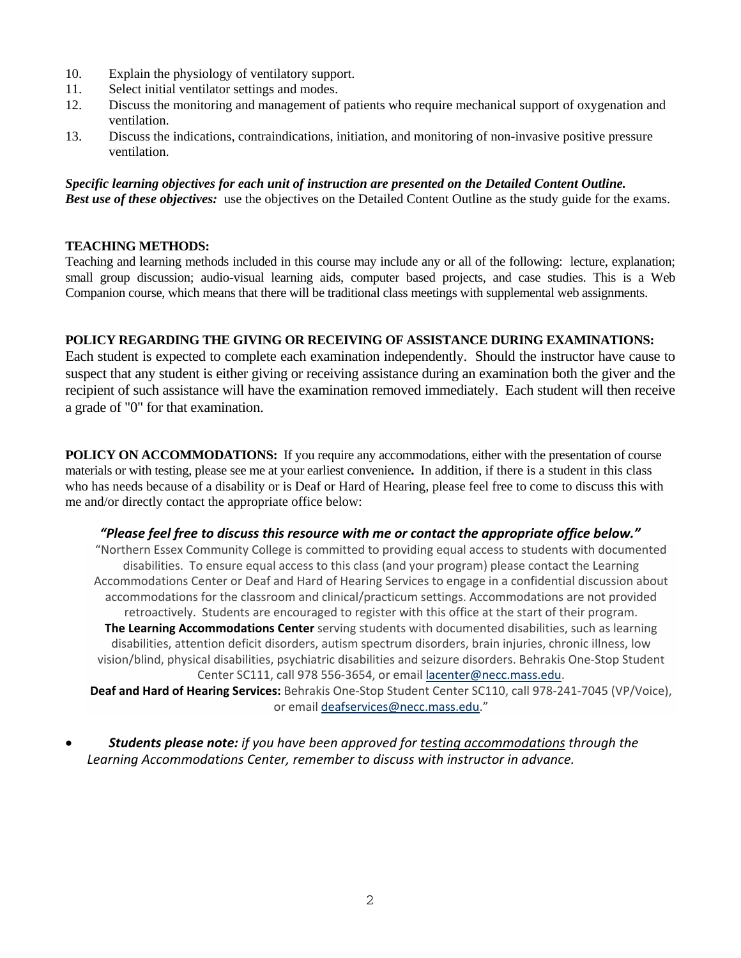- 10. Explain the physiology of ventilatory support.
- 11. Select initial ventilator settings and modes.
- 12. Discuss the monitoring and management of patients who require mechanical support of oxygenation and ventilation.
- 13. Discuss the indications, contraindications, initiation, and monitoring of non-invasive positive pressure ventilation.

*Specific learning objectives for each unit of instruction are presented on the Detailed Content Outline. Best use of these objectives:* use the objectives on the Detailed Content Outline as the study guide for the exams.

## **TEACHING METHODS:**

Teaching and learning methods included in this course may include any or all of the following: lecture, explanation; small group discussion; audio-visual learning aids, computer based projects, and case studies. This is a Web Companion course, which means that there will be traditional class meetings with supplemental web assignments.

# **POLICY REGARDING THE GIVING OR RECEIVING OF ASSISTANCE DURING EXAMINATIONS:**

Each student is expected to complete each examination independently. Should the instructor have cause to suspect that any student is either giving or receiving assistance during an examination both the giver and the recipient of such assistance will have the examination removed immediately. Each student will then receive a grade of "0" for that examination.

**POLICY ON ACCOMMODATIONS:** If you require any accommodations, either with the presentation of course materials or with testing, please see me at your earliest convenience**.** In addition, if there is a student in this class who has needs because of a disability or is Deaf or Hard of Hearing, please feel free to come to discuss this with me and/or directly contact the appropriate office below:

### *"Please feel free to discuss this resource with me or contact the appropriate office below."*

"Northern Essex Community College is committed to providing equal access to students with documented disabilities. To ensure equal access to this class (and your program) please contact the Learning Accommodations Center or Deaf and Hard of Hearing Services to engage in a confidential discussion about accommodations for the classroom and clinical/practicum settings. Accommodations are not provided retroactively. Students are encouraged to register with this office at the start of their program. **The Learning Accommodations Center** serving students with documented disabilities, such as learning disabilities, attention deficit disorders, autism spectrum disorders, brain injuries, chronic illness, low vision/blind, physical disabilities, psychiatric disabilities and seizure disorders. Behrakis One‐Stop Student Center SC111, call 978 556‐3654, or email lacenter@necc.mass.edu.

**Deaf and Hard of Hearing Services:** Behrakis One‐Stop Student Center SC110, call 978‐241‐7045 (VP/Voice), or email deafservices@necc.mass.edu."

 *Students please note: if you have been approved for testing accommodations through the Learning Accommodations Center, remember to discuss with instructor in advance.*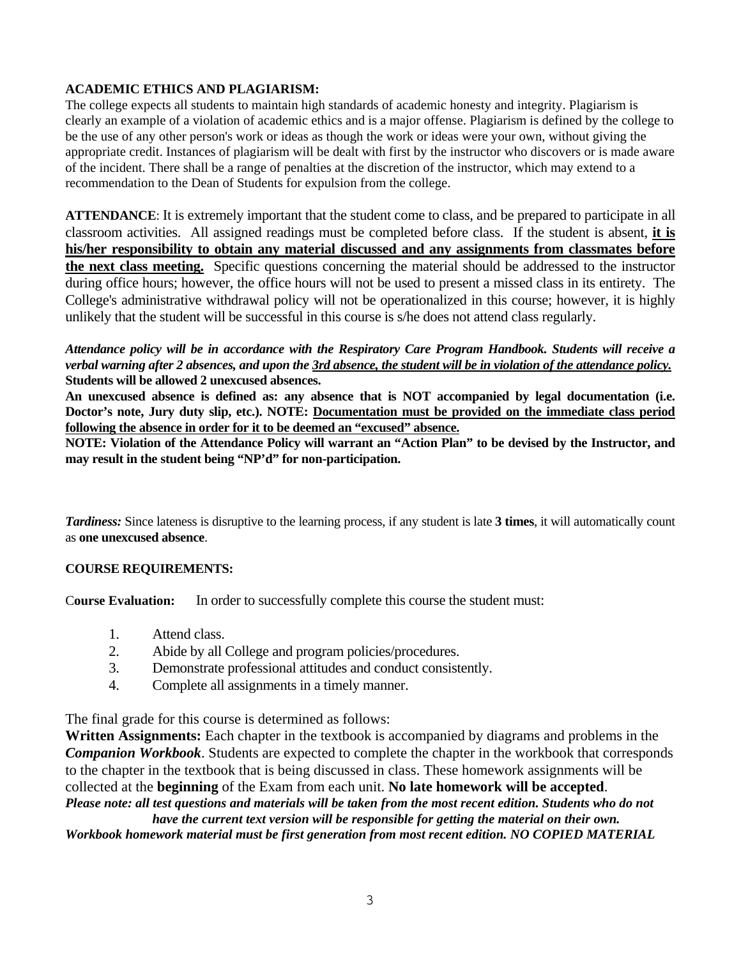# **ACADEMIC ETHICS AND PLAGIARISM:**

The college expects all students to maintain high standards of academic honesty and integrity. Plagiarism is clearly an example of a violation of academic ethics and is a major offense. Plagiarism is defined by the college to be the use of any other person's work or ideas as though the work or ideas were your own, without giving the appropriate credit. Instances of plagiarism will be dealt with first by the instructor who discovers or is made aware of the incident. There shall be a range of penalties at the discretion of the instructor, which may extend to a recommendation to the Dean of Students for expulsion from the college.

**ATTENDANCE**: It is extremely important that the student come to class, and be prepared to participate in all classroom activities. All assigned readings must be completed before class. If the student is absent, **it is his/her responsibility to obtain any material discussed and any assignments from classmates before the next class meeting.** Specific questions concerning the material should be addressed to the instructor during office hours; however, the office hours will not be used to present a missed class in its entirety. The College's administrative withdrawal policy will not be operationalized in this course; however, it is highly unlikely that the student will be successful in this course is s/he does not attend class regularly.

## *Attendance policy will be in accordance with the Respiratory Care Program Handbook. Students will receive a verbal warning after 2 absences, and upon the 3rd absence, the student will be in violation of the attendance policy.*  **Students will be allowed 2 unexcused absences.**

**An unexcused absence is defined as: any absence that is NOT accompanied by legal documentation (i.e. Doctor's note, Jury duty slip, etc.). NOTE: Documentation must be provided on the immediate class period following the absence in order for it to be deemed an "excused" absence.** 

**NOTE: Violation of the Attendance Policy will warrant an "Action Plan" to be devised by the Instructor, and may result in the student being "NP'd" for non-participation.** 

*Tardiness:* Since lateness is disruptive to the learning process, if any student is late **3 times**, it will automatically count as **one unexcused absence**.

# **COURSE REQUIREMENTS:**

C**ourse Evaluation:** In order to successfully complete this course the student must:

- 1. Attend class.
- 2. Abide by all College and program policies/procedures.
- 3. Demonstrate professional attitudes and conduct consistently.
- 4. Complete all assignments in a timely manner.

The final grade for this course is determined as follows:

**Written Assignments:** Each chapter in the textbook is accompanied by diagrams and problems in the *Companion Workbook*. Students are expected to complete the chapter in the workbook that corresponds to the chapter in the textbook that is being discussed in class. These homework assignments will be collected at the **beginning** of the Exam from each unit. **No late homework will be accepted**. *Please note: all test questions and materials will be taken from the most recent edition. Students who do not* 

*have the current text version will be responsible for getting the material on their own. Workbook homework material must be first generation from most recent edition. NO COPIED MATERIAL*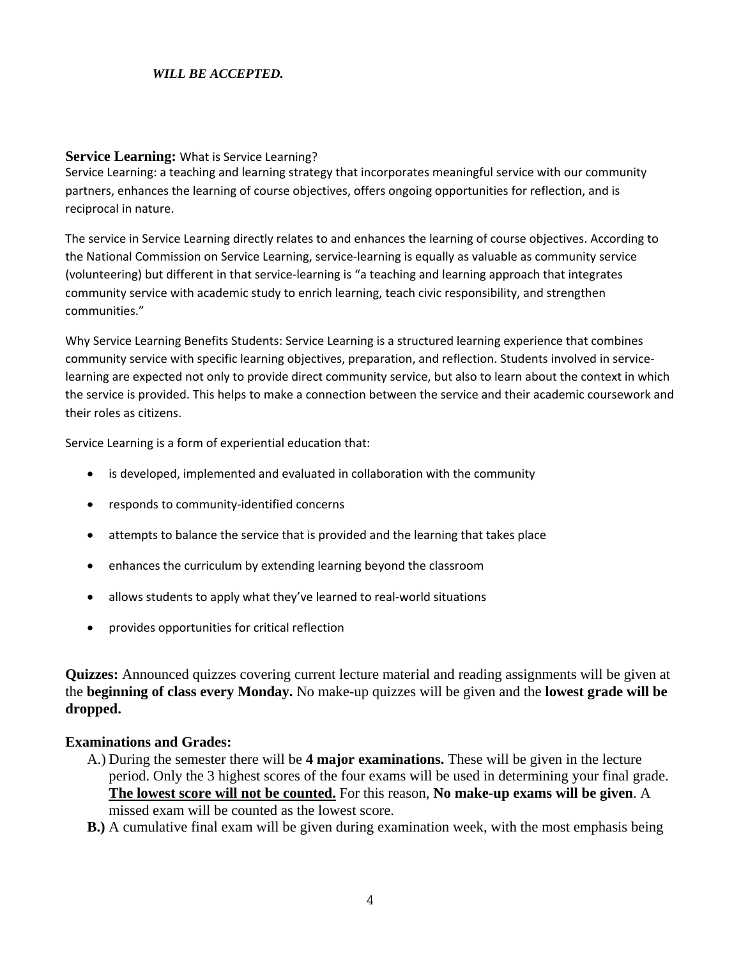# *WILL BE ACCEPTED.*

## **Service Learning:** What is Service Learning?

Service Learning: a teaching and learning strategy that incorporates meaningful service with our community partners, enhances the learning of course objectives, offers ongoing opportunities for reflection, and is reciprocal in nature.

The service in Service Learning directly relates to and enhances the learning of course objectives. According to the National Commission on Service Learning, service‐learning is equally as valuable as community service (volunteering) but different in that service‐learning is "a teaching and learning approach that integrates community service with academic study to enrich learning, teach civic responsibility, and strengthen communities."

Why Service Learning Benefits Students: Service Learning is a structured learning experience that combines community service with specific learning objectives, preparation, and reflection. Students involved in service‐ learning are expected not only to provide direct community service, but also to learn about the context in which the service is provided. This helps to make a connection between the service and their academic coursework and their roles as citizens.

Service Learning is a form of experiential education that:

- is developed, implemented and evaluated in collaboration with the community
- responds to community‐identified concerns
- attempts to balance the service that is provided and the learning that takes place
- enhances the curriculum by extending learning beyond the classroom
- allows students to apply what they've learned to real-world situations
- provides opportunities for critical reflection

**Quizzes:** Announced quizzes covering current lecture material and reading assignments will be given at the **beginning of class every Monday.** No make-up quizzes will be given and the **lowest grade will be dropped.** 

### **Examinations and Grades:**

- A.) During the semester there will be **4 major examinations.** These will be given in the lecture period. Only the 3 highest scores of the four exams will be used in determining your final grade. **The lowest score will not be counted.** For this reason, **No make-up exams will be given**. A missed exam will be counted as the lowest score.
- **B.)** A cumulative final exam will be given during examination week, with the most emphasis being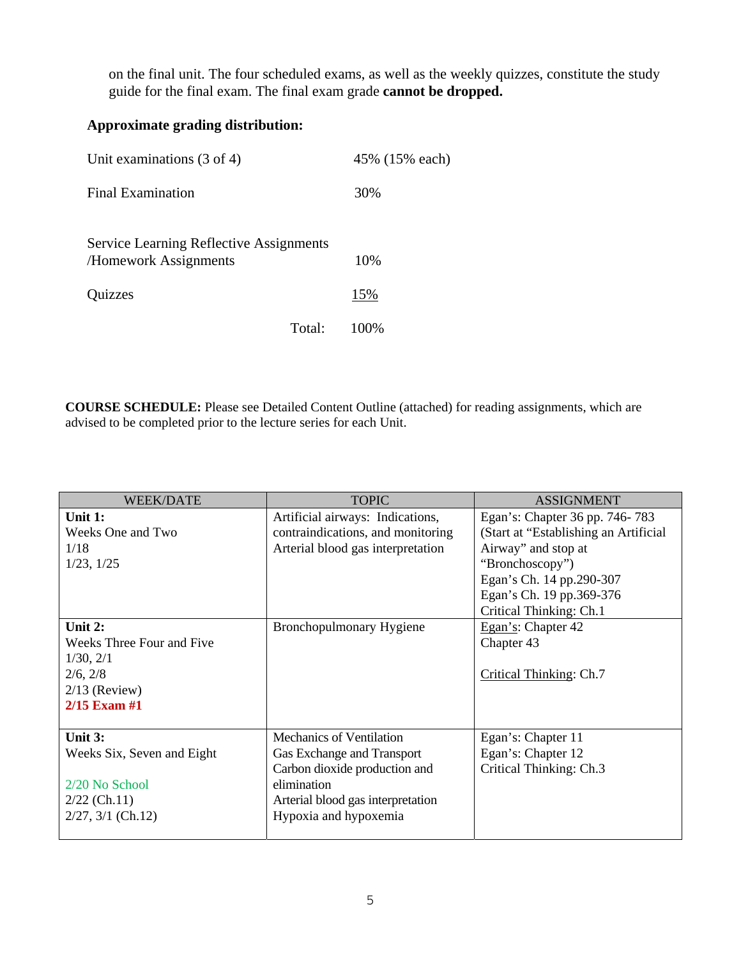on the final unit. The four scheduled exams, as well as the weekly quizzes, constitute the study guide for the final exam. The final exam grade **cannot be dropped.** 

# **Approximate grading distribution:**

| Unit examinations $(3 \text{ of } 4)$                            |        | 45% (15% each) |
|------------------------------------------------------------------|--------|----------------|
| <b>Final Examination</b>                                         |        | 30%            |
| Service Learning Reflective Assignments<br>/Homework Assignments |        | 10%            |
| Quizzes                                                          |        | 15%            |
|                                                                  | Total: | 100%           |

**COURSE SCHEDULE:** Please see Detailed Content Outline (attached) for reading assignments, which are advised to be completed prior to the lecture series for each Unit.

| <b>WEEK/DATE</b>           | <b>TOPIC</b>                      | <b>ASSIGNMENT</b>                     |
|----------------------------|-----------------------------------|---------------------------------------|
| Unit 1:                    | Artificial airways: Indications,  | Egan's: Chapter 36 pp. 746-783        |
| Weeks One and Two          | contraindications, and monitoring | (Start at "Establishing an Artificial |
| 1/18                       | Arterial blood gas interpretation | Airway" and stop at                   |
| $1/23$ , $1/25$            |                                   | "Bronchoscopy")                       |
|                            |                                   | Egan's Ch. 14 pp.290-307              |
|                            |                                   | Egan's Ch. 19 pp.369-376              |
|                            |                                   | Critical Thinking: Ch.1               |
| Unit 2:                    | Bronchopulmonary Hygiene          | Egan's: Chapter 42                    |
| Weeks Three Four and Five  |                                   | Chapter 43                            |
| 1/30, 2/1                  |                                   |                                       |
| 2/6, 2/8                   |                                   | Critical Thinking: Ch.7               |
| $2/13$ (Review)            |                                   |                                       |
| 2/15 Exam #1               |                                   |                                       |
|                            |                                   |                                       |
| Unit $3:$                  | <b>Mechanics of Ventilation</b>   | Egan's: Chapter 11                    |
| Weeks Six, Seven and Eight | Gas Exchange and Transport        | Egan's: Chapter 12                    |
|                            | Carbon dioxide production and     | Critical Thinking: Ch.3               |
| $2/20$ No School           | elimination                       |                                       |
| $2/22$ (Ch.11)             | Arterial blood gas interpretation |                                       |
| $2/27$ , $3/1$ (Ch.12)     | Hypoxia and hypoxemia             |                                       |
|                            |                                   |                                       |